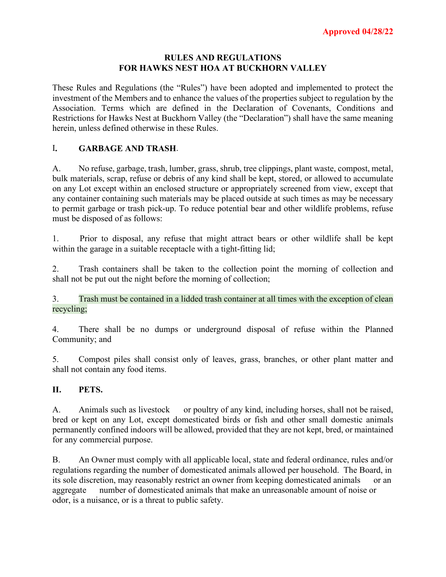#### **RULES AND REGULATIONS FOR HAWKS NEST HOA AT BUCKHORN VALLEY**

These Rules and Regulations (the "Rules") have been adopted and implemented to protect the investment of the Members and to enhance the values of the properties subject to regulation by the Association. Terms which are defined in the Declaration of Covenants, Conditions and Restrictions for Hawks Nest at Buckhorn Valley (the "Declaration") shall have the same meaning herein, unless defined otherwise in these Rules.

### I**. GARBAGE AND TRASH**.

A. No refuse, garbage, trash, lumber, grass, shrub, tree clippings, plant waste, compost, metal, bulk materials, scrap, refuse or debris of any kind shall be kept, stored, or allowed to accumulate on any Lot except within an enclosed structure or appropriately screened from view, except that any container containing such materials may be placed outside at such times as may be necessary to permit garbage or trash pick-up. To reduce potential bear and other wildlife problems, refuse must be disposed of as follows:

1. Prior to disposal, any refuse that might attract bears or other wildlife shall be kept within the garage in a suitable receptacle with a tight-fitting lid;

2. Trash containers shall be taken to the collection point the morning of collection and shall not be put out the night before the morning of collection;

3. Trash must be contained in a lidded trash container at all times with the exception of clean recycling;

4. There shall be no dumps or underground disposal of refuse within the Planned Community; and

5. Compost piles shall consist only of leaves, grass, branches, or other plant matter and shall not contain any food items.

#### **II. PETS.**

A. Animals such as livestock or poultry of any kind, including horses, shall not be raised, bred or kept on any Lot, except domesticated birds or fish and other small domestic animals permanently confined indoors will be allowed, provided that they are not kept, bred, or maintained for any commercial purpose.

B. An Owner must comply with all applicable local, state and federal ordinance, rules and/or regulations regarding the number of domesticated animals allowed per household. The Board, in its sole discretion, may reasonably restrict an owner from keeping domesticated animals or an aggregate number of domesticated animals that make an unreasonable amount of noise or odor, is a nuisance, or is a threat to public safety.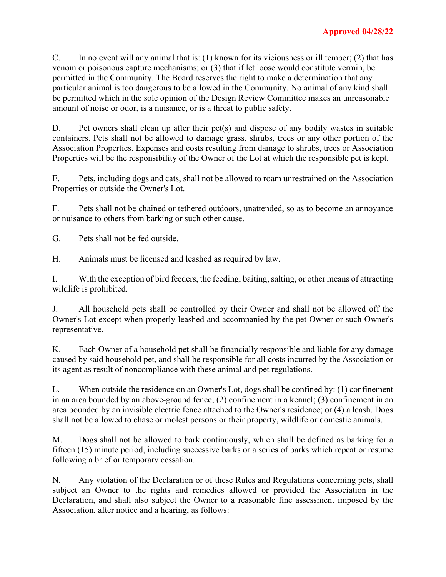C. In no event will any animal that is: (1) known for its viciousness or ill temper; (2) that has venom or poisonous capture mechanisms; or (3) that if let loose would constitute vermin, be permitted in the Community. The Board reserves the right to make a determination that any particular animal is too dangerous to be allowed in the Community. No animal of any kind shall be permitted which in the sole opinion of the Design Review Committee makes an unreasonable amount of noise or odor, is a nuisance, or is a threat to public safety.

D. Pet owners shall clean up after their pet(s) and dispose of any bodily wastes in suitable containers. Pets shall not be allowed to damage grass, shrubs, trees or any other portion of the Association Properties. Expenses and costs resulting from damage to shrubs, trees or Association Properties will be the responsibility of the Owner of the Lot at which the responsible pet is kept.

E. Pets, including dogs and cats, shall not be allowed to roam unrestrained on the Association Properties or outside the Owner's Lot.

F. Pets shall not be chained or tethered outdoors, unattended, so as to become an annoyance or nuisance to others from barking or such other cause.

G. Pets shall not be fed outside.

H. Animals must be licensed and leashed as required by law.

I. With the exception of bird feeders, the feeding, baiting, salting, or other means of attracting wildlife is prohibited.

J. All household pets shall be controlled by their Owner and shall not be allowed off the Owner's Lot except when properly leashed and accompanied by the pet Owner or such Owner's representative.

K. Each Owner of a household pet shall be financially responsible and liable for any damage caused by said household pet, and shall be responsible for all costs incurred by the Association or its agent as result of noncompliance with these animal and pet regulations.

L. When outside the residence on an Owner's Lot, dogs shall be confined by: (1) confinement in an area bounded by an above-ground fence; (2) confinement in a kennel; (3) confinement in an area bounded by an invisible electric fence attached to the Owner's residence; or (4) a leash. Dogs shall not be allowed to chase or molest persons or their property, wildlife or domestic animals.

M. Dogs shall not be allowed to bark continuously, which shall be defined as barking for a fifteen (15) minute period, including successive barks or a series of barks which repeat or resume following a brief or temporary cessation.

N. Any violation of the Declaration or of these Rules and Regulations concerning pets, shall subject an Owner to the rights and remedies allowed or provided the Association in the Declaration, and shall also subject the Owner to a reasonable fine assessment imposed by the Association, after notice and a hearing, as follows: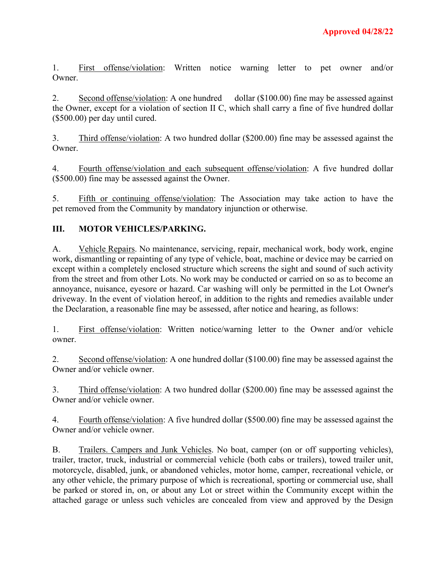1. First offense/violation: Written notice warning letter to pet owner and/or Owner.

2. Second offense/violation: A one hundred dollar (\$100.00) fine may be assessed against the Owner, except for a violation of section II C, which shall carry a fine of five hundred dollar (\$500.00) per day until cured.

3. Third offense/violation: A two hundred dollar (\$200.00) fine may be assessed against the Owner.

4. Fourth offense/violation and each subsequent offense/violation: A five hundred dollar (\$500.00) fine may be assessed against the Owner.

5. Fifth or continuing offense/violation: The Association may take action to have the pet removed from the Community by mandatory injunction or otherwise.

## **III. MOTOR VEHICLES/PARKING.**

A. Vehicle Repairs. No maintenance, servicing, repair, mechanical work, body work, engine work, dismantling or repainting of any type of vehicle, boat, machine or device may be carried on except within a completely enclosed structure which screens the sight and sound of such activity from the street and from other Lots. No work may be conducted or carried on so as to become an annoyance, nuisance, eyesore or hazard. Car washing will only be permitted in the Lot Owner's driveway. In the event of violation hereof, in addition to the rights and remedies available under the Declaration, a reasonable fine may be assessed, after notice and hearing, as follows:

1. First offense/violation: Written notice/warning letter to the Owner and/or vehicle owner.

2. Second offense/violation: A one hundred dollar (\$100.00) fine may be assessed against the Owner and/or vehicle owner.

3. Third offense/violation: A two hundred dollar (\$200.00) fine may be assessed against the Owner and/or vehicle owner.

4. Fourth offense/violation: A five hundred dollar (\$500.00) fine may be assessed against the Owner and/or vehicle owner.

B. Trailers. Campers and Junk Vehicles. No boat, camper (on or off supporting vehicles), trailer, tractor, truck, industrial or commercial vehicle (both cabs or trailers), towed trailer unit, motorcycle, disabled, junk, or abandoned vehicles, motor home, camper, recreational vehicle, or any other vehicle, the primary purpose of which is recreational, sporting or commercial use, shall be parked or stored in, on, or about any Lot or street within the Community except within the attached garage or unless such vehicles are concealed from view and approved by the Design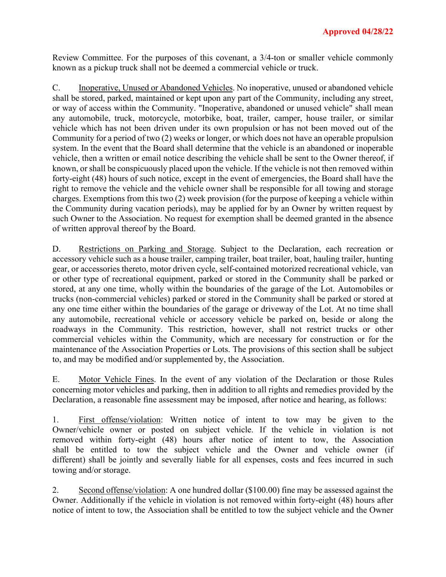Review Committee. For the purposes of this covenant, a 3/4-ton or smaller vehicle commonly known as a pickup truck shall not be deemed a commercial vehicle or truck.

C. Inoperative, Unused or Abandoned Vehicles. No inoperative, unused or abandoned vehicle shall be stored, parked, maintained or kept upon any part of the Community, including any street, or way of access within the Community. "Inoperative, abandoned or unused vehicle" shall mean any automobile, truck, motorcycle, motorbike, boat, trailer, camper, house trailer, or similar vehicle which has not been driven under its own propulsion or has not been moved out of the Community for a period of two (2) weeks or longer, or which does not have an operable propulsion system. In the event that the Board shall determine that the vehicle is an abandoned or inoperable vehicle, then a written or email notice describing the vehicle shall be sent to the Owner thereof, if known, or shall be conspicuously placed upon the vehicle. If the vehicle is not then removed within forty-eight (48) hours of such notice, except in the event of emergencies, the Board shall have the right to remove the vehicle and the vehicle owner shall be responsible for all towing and storage charges. Exemptions from this two (2) week provision (for the purpose of keeping a vehicle within the Community during vacation periods), may be applied for by an Owner by written request by such Owner to the Association. No request for exemption shall be deemed granted in the absence of written approval thereof by the Board.

D. Restrictions on Parking and Storage. Subject to the Declaration, each recreation or accessory vehicle such as a house trailer, camping trailer, boat trailer, boat, hauling trailer, hunting gear, or accessories thereto, motor driven cycle, self-contained motorized recreational vehicle, van or other type of recreational equipment, parked or stored in the Community shall be parked or stored, at any one time, wholly within the boundaries of the garage of the Lot. Automobiles or trucks (non-commercial vehicles) parked or stored in the Community shall be parked or stored at any one time either within the boundaries of the garage or driveway of the Lot. At no time shall any automobile, recreational vehicle or accessory vehicle be parked on, beside or along the roadways in the Community. This restriction, however, shall not restrict trucks or other commercial vehicles within the Community, which are necessary for construction or for the maintenance of the Association Properties or Lots. The provisions of this section shall be subject to, and may be modified and/or supplemented by, the Association.

E. Motor Vehicle Fines. In the event of any violation of the Declaration or those Rules concerning motor vehicles and parking, then in addition to all rights and remedies provided by the Declaration, a reasonable fine assessment may be imposed, after notice and hearing, as follows:

1. First offense/violation: Written notice of intent to tow may be given to the Owner/vehicle owner or posted on subject vehicle. If the vehicle in violation is not removed within forty-eight (48) hours after notice of intent to tow, the Association shall be entitled to tow the subject vehicle and the Owner and vehicle owner (if different) shall be jointly and severally liable for all expenses, costs and fees incurred in such towing and/or storage.

2. Second offense/violation: A one hundred dollar (\$100.00) fine may be assessed against the Owner. Additionally if the vehicle in violation is not removed within forty-eight (48) hours after notice of intent to tow, the Association shall be entitled to tow the subject vehicle and the Owner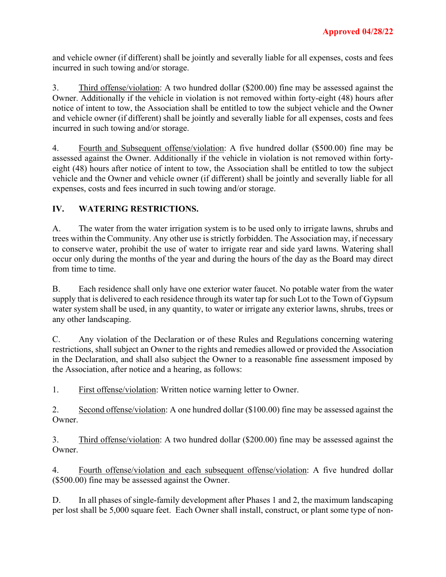and vehicle owner (if different) shall be jointly and severally liable for all expenses, costs and fees incurred in such towing and/or storage.

3. Third offense/violation: A two hundred dollar (\$200.00) fine may be assessed against the Owner. Additionally if the vehicle in violation is not removed within forty-eight (48) hours after notice of intent to tow, the Association shall be entitled to tow the subject vehicle and the Owner and vehicle owner (if different) shall be jointly and severally liable for all expenses, costs and fees incurred in such towing and/or storage.

4. Fourth and Subsequent offense/violation: A five hundred dollar (\$500.00) fine may be assessed against the Owner. Additionally if the vehicle in violation is not removed within fortyeight (48) hours after notice of intent to tow, the Association shall be entitled to tow the subject vehicle and the Owner and vehicle owner (if different) shall be jointly and severally liable for all expenses, costs and fees incurred in such towing and/or storage.

## **IV. WATERING RESTRICTIONS.**

A. The water from the water irrigation system is to be used only to irrigate lawns, shrubs and trees within the Community. Any other use is strictly forbidden. The Association may, if necessary to conserve water, prohibit the use of water to irrigate rear and side yard lawns. Watering shall occur only during the months of the year and during the hours of the day as the Board may direct from time to time.

B. Each residence shall only have one exterior water faucet. No potable water from the water supply that is delivered to each residence through its water tap for such Lot to the Town of Gypsum water system shall be used, in any quantity, to water or irrigate any exterior lawns, shrubs, trees or any other landscaping.

C. Any violation of the Declaration or of these Rules and Regulations concerning watering restrictions, shall subject an Owner to the rights and remedies allowed or provided the Association in the Declaration, and shall also subject the Owner to a reasonable fine assessment imposed by the Association, after notice and a hearing, as follows:

1. First offense/violation: Written notice warning letter to Owner.

2. Second offense/violation: A one hundred dollar (\$100.00) fine may be assessed against the Owner.

3. Third offense/violation: A two hundred dollar (\$200.00) fine may be assessed against the Owner.

4. Fourth offense/violation and each subsequent offense/violation: A five hundred dollar (\$500.00) fine may be assessed against the Owner.

D. In all phases of single-family development after Phases 1 and 2, the maximum landscaping per lost shall be 5,000 square feet. Each Owner shall install, construct, or plant some type of non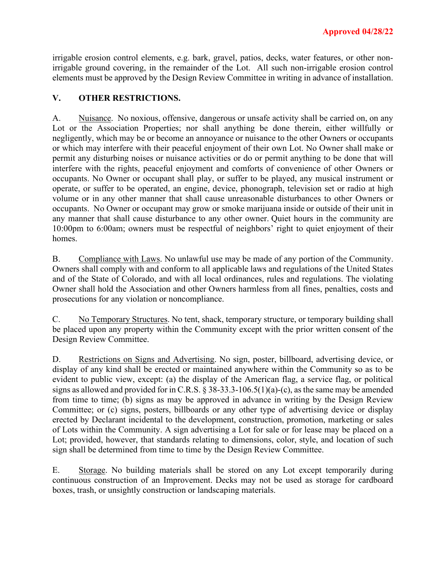irrigable erosion control elements, e.g. bark, gravel, patios, decks, water features, or other nonirrigable ground covering, in the remainder of the Lot. All such non-irrigable erosion control elements must be approved by the Design Review Committee in writing in advance of installation.

### **V. OTHER RESTRICTIONS.**

A. Nuisance. No noxious, offensive, dangerous or unsafe activity shall be carried on, on any Lot or the Association Properties; nor shall anything be done therein, either willfully or negligently, which may be or become an annoyance or nuisance to the other Owners or occupants or which may interfere with their peaceful enjoyment of their own Lot. No Owner shall make or permit any disturbing noises or nuisance activities or do or permit anything to be done that will interfere with the rights, peaceful enjoyment and comforts of convenience of other Owners or occupants. No Owner or occupant shall play, or suffer to be played, any musical instrument or operate, or suffer to be operated, an engine, device, phonograph, television set or radio at high volume or in any other manner that shall cause unreasonable disturbances to other Owners or occupants. No Owner or occupant may grow or smoke marijuana inside or outside of their unit in any manner that shall cause disturbance to any other owner. Quiet hours in the community are 10:00pm to 6:00am; owners must be respectful of neighbors' right to quiet enjoyment of their homes.

B. Compliance with Laws. No unlawful use may be made of any portion of the Community. Owners shall comply with and conform to all applicable laws and regulations of the United States and of the State of Colorado, and with all local ordinances, rules and regulations. The violating Owner shall hold the Association and other Owners harmless from all fines, penalties, costs and prosecutions for any violation or noncompliance.

C. No Temporary Structures. No tent, shack, temporary structure, or temporary building shall be placed upon any property within the Community except with the prior written consent of the Design Review Committee.

D. Restrictions on Signs and Advertising. No sign, poster, billboard, advertising device, or display of any kind shall be erected or maintained anywhere within the Community so as to be evident to public view, except: (a) the display of the American flag, a service flag, or political signs as allowed and provided for in C.R.S.  $\S 38-33.3-106.5(1)(a)-(c)$ , as the same may be amended from time to time; (b) signs as may be approved in advance in writing by the Design Review Committee; or (c) signs, posters, billboards or any other type of advertising device or display erected by Declarant incidental to the development, construction, promotion, marketing or sales of Lots within the Community. A sign advertising a Lot for sale or for lease may be placed on a Lot; provided, however, that standards relating to dimensions, color, style, and location of such sign shall be determined from time to time by the Design Review Committee.

E. Storage. No building materials shall be stored on any Lot except temporarily during continuous construction of an Improvement. Decks may not be used as storage for cardboard boxes, trash, or unsightly construction or landscaping materials.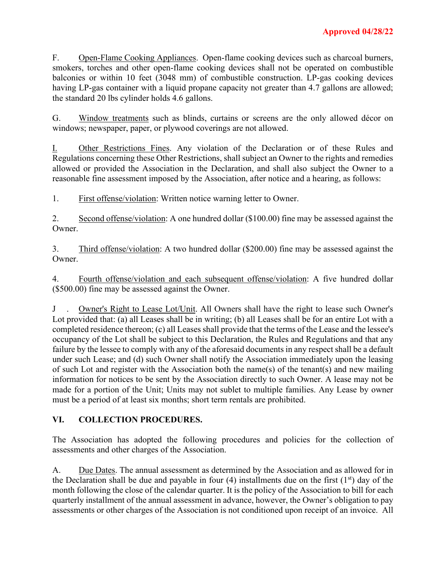F. Open-Flame Cooking Appliances. Open-flame cooking devices such as charcoal burners, smokers, torches and other open-flame cooking devices shall not be operated on combustible balconies or within 10 feet (3048 mm) of combustible construction. LP-gas cooking devices having LP-gas container with a liquid propane capacity not greater than 4.7 gallons are allowed; the standard 20 lbs cylinder holds 4.6 gallons.

G. Window treatments such as blinds, curtains or screens are the only allowed décor on windows; newspaper, paper, or plywood coverings are not allowed.

I. Other Restrictions Fines. Any violation of the Declaration or of these Rules and Regulations concerning these Other Restrictions, shall subject an Owner to the rights and remedies allowed or provided the Association in the Declaration, and shall also subject the Owner to a reasonable fine assessment imposed by the Association, after notice and a hearing, as follows:

1. First offense/violation: Written notice warning letter to Owner.

2. Second offense/violation: A one hundred dollar (\$100.00) fine may be assessed against the Owner.

3. Third offense/violation: A two hundred dollar (\$200.00) fine may be assessed against the Owner.

4. Fourth offense/violation and each subsequent offense/violation: A five hundred dollar (\$500.00) fine may be assessed against the Owner.

J . Owner's Right to Lease Lot/Unit. All Owners shall have the right to lease such Owner's Lot provided that: (a) all Leases shall be in writing; (b) all Leases shall be for an entire Lot with a completed residence thereon; (c) all Leases shall provide that the terms of the Lease and the lessee's occupancy of the Lot shall be subject to this Declaration, the Rules and Regulations and that any failure by the lessee to comply with any of the aforesaid documents in any respect shall be a default under such Lease; and (d) such Owner shall notify the Association immediately upon the leasing of such Lot and register with the Association both the name(s) of the tenant(s) and new mailing information for notices to be sent by the Association directly to such Owner. A lease may not be made for a portion of the Unit; Units may not sublet to multiple families. Any Lease by owner must be a period of at least six months; short term rentals are prohibited.

# **VI. COLLECTION PROCEDURES.**

The Association has adopted the following procedures and policies for the collection of assessments and other charges of the Association.

A. Due Dates. The annual assessment as determined by the Association and as allowed for in the Declaration shall be due and payable in four (4) installments due on the first  $(1<sup>st</sup>)$  day of the month following the close of the calendar quarter. It is the policy of the Association to bill for each quarterly installment of the annual assessment in advance, however, the Owner's obligation to pay assessments or other charges of the Association is not conditioned upon receipt of an invoice. All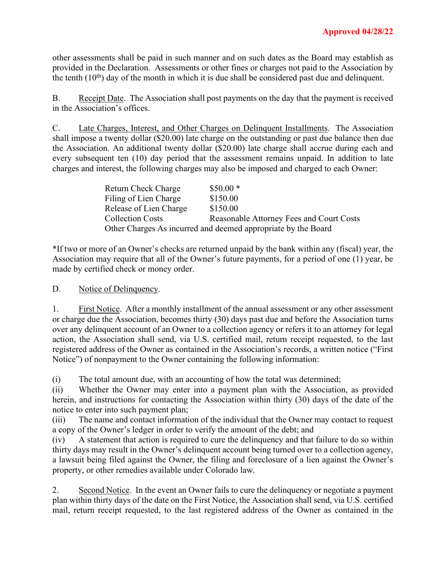other assessments shall be paid in such manner and on such dates as the Board may establish as provided in the Declaration. Assessments or other fines or charges not paid to the Association by the tenth  $(10<sup>th</sup>)$  day of the month in which it is due shall be considered past due and delinquent.

B. Receipt Date. The Association shall post payments on the day that the payment is received in the Association's offices.

C. Late Charges, Interest, and Other Charges on Delinquent Installments. The Association shall impose a twenty dollar (\$20.00) late charge on the outstanding or past due balance then due the Association. An additional twenty dollar (\$20.00) late charge shall accrue during each and every subsequent ten (10) day period that the assessment remains unpaid. In addition to late charges and interest, the following charges may also be imposed and charged to each Owner:

| Return Check Charge     | $$50.00*$                                                     |
|-------------------------|---------------------------------------------------------------|
| Filing of Lien Charge   | \$150.00                                                      |
| Release of Lien Charge  | \$150.00                                                      |
| <b>Collection Costs</b> | Reasonable Attorney Fees and Court Costs                      |
|                         | Other Charges As incurred and deemed appropriate by the Board |

\*If two or more of an Owner's checks are returned unpaid by the bank within any (fiscal) year, the Association may require that all of the Owner's future payments, for a period of one (1) year, be made by certified check or money order.

D. Notice of Delinquency.

1. First Notice. After a monthly installment of the annual assessment or any other assessment or charge due the Association, becomes thirty (30) days past due and before the Association turns over any delinquent account of an Owner to a collection agency or refers it to an attorney for legal action, the Association shall send, via U.S. certified mail, return receipt requested, to the last registered address of the Owner as contained in the Association's records, a written notice ("First Notice") of nonpayment to the Owner containing the following information:

(i) The total amount due, with an accounting of how the total was determined;

(ii) Whether the Owner may enter into a payment plan with the Association, as provided herein, and instructions for contacting the Association within thirty (30) days of the date of the notice to enter into such payment plan;

(iii) The name and contact information of the individual that the Owner may contact to request a copy of the Owner's ledger in order to verify the amount of the debt; and

(iv) A statement that action is required to cure the delinquency and that failure to do so within thirty days may result in the Owner's delinquent account being turned over to a collection agency, a lawsuit being filed against the Owner, the filing and foreclosure of a lien against the Owner's property, or other remedies available under Colorado law.

2. Second Notice. In the event an Owner fails to cure the delinquency or negotiate a payment plan within thirty days of the date on the First Notice, the Association shall send, via U.S. certified mail, return receipt requested, to the last registered address of the Owner as contained in the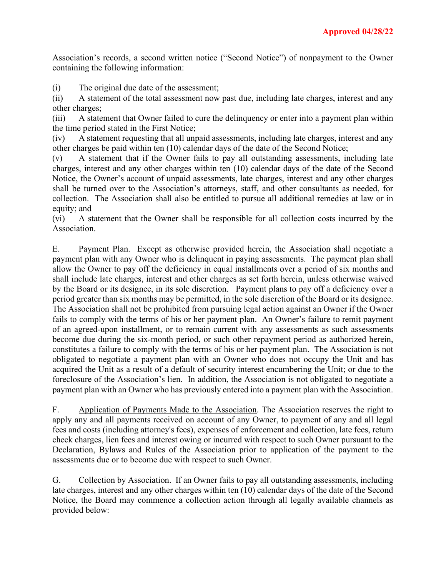Association's records, a second written notice ("Second Notice") of nonpayment to the Owner containing the following information:

(i) The original due date of the assessment;

(ii) A statement of the total assessment now past due, including late charges, interest and any other charges;

(iii) A statement that Owner failed to cure the delinquency or enter into a payment plan within the time period stated in the First Notice;

(iv) A statement requesting that all unpaid assessments, including late charges, interest and any other charges be paid within ten (10) calendar days of the date of the Second Notice;

(v) A statement that if the Owner fails to pay all outstanding assessments, including late charges, interest and any other charges within ten (10) calendar days of the date of the Second Notice, the Owner's account of unpaid assessments, late charges, interest and any other charges shall be turned over to the Association's attorneys, staff, and other consultants as needed, for collection. The Association shall also be entitled to pursue all additional remedies at law or in equity; and

(vi) A statement that the Owner shall be responsible for all collection costs incurred by the Association.

E. Payment Plan. Except as otherwise provided herein, the Association shall negotiate a payment plan with any Owner who is delinquent in paying assessments. The payment plan shall allow the Owner to pay off the deficiency in equal installments over a period of six months and shall include late charges, interest and other charges as set forth herein, unless otherwise waived by the Board or its designee, in its sole discretion. Payment plans to pay off a deficiency over a period greater than six months may be permitted, in the sole discretion of the Board or its designee. The Association shall not be prohibited from pursuing legal action against an Owner if the Owner fails to comply with the terms of his or her payment plan. An Owner's failure to remit payment of an agreed-upon installment, or to remain current with any assessments as such assessments become due during the six-month period, or such other repayment period as authorized herein, constitutes a failure to comply with the terms of his or her payment plan. The Association is not obligated to negotiate a payment plan with an Owner who does not occupy the Unit and has acquired the Unit as a result of a default of security interest encumbering the Unit; or due to the foreclosure of the Association's lien. In addition, the Association is not obligated to negotiate a payment plan with an Owner who has previously entered into a payment plan with the Association.

F. Application of Payments Made to the Association. The Association reserves the right to apply any and all payments received on account of any Owner, to payment of any and all legal fees and costs (including attorney's fees), expenses of enforcement and collection, late fees, return check charges, lien fees and interest owing or incurred with respect to such Owner pursuant to the Declaration, Bylaws and Rules of the Association prior to application of the payment to the assessments due or to become due with respect to such Owner.

G. Collection by Association. If an Owner fails to pay all outstanding assessments, including late charges, interest and any other charges within ten (10) calendar days of the date of the Second Notice, the Board may commence a collection action through all legally available channels as provided below: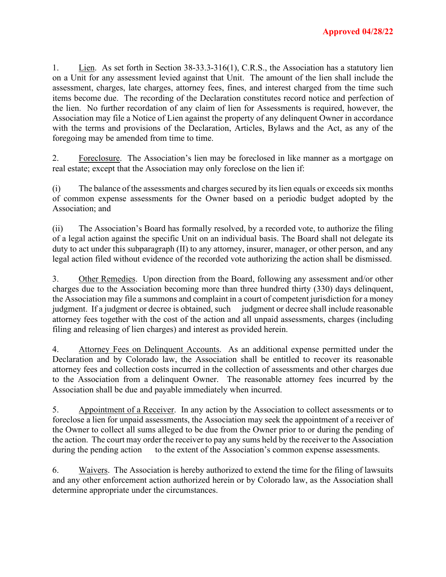1. Lien. As set forth in Section 38-33.3-316(1), C.R.S., the Association has a statutory lien on a Unit for any assessment levied against that Unit. The amount of the lien shall include the assessment, charges, late charges, attorney fees, fines, and interest charged from the time such items become due. The recording of the Declaration constitutes record notice and perfection of the lien. No further recordation of any claim of lien for Assessments is required, however, the Association may file a Notice of Lien against the property of any delinquent Owner in accordance with the terms and provisions of the Declaration, Articles, Bylaws and the Act, as any of the foregoing may be amended from time to time.

2. Foreclosure. The Association's lien may be foreclosed in like manner as a mortgage on real estate; except that the Association may only foreclose on the lien if:

(i) The balance of the assessments and charges secured by its lien equals or exceeds six months of common expense assessments for the Owner based on a periodic budget adopted by the Association; and

(ii) The Association's Board has formally resolved, by a recorded vote, to authorize the filing of a legal action against the specific Unit on an individual basis. The Board shall not delegate its duty to act under this subparagraph (II) to any attorney, insurer, manager, or other person, and any legal action filed without evidence of the recorded vote authorizing the action shall be dismissed.

3. Other Remedies. Upon direction from the Board, following any assessment and/or other charges due to the Association becoming more than three hundred thirty (330) days delinquent, the Association may file a summons and complaint in a court of competent jurisdiction for a money judgment. If a judgment or decree is obtained, such judgment or decree shall include reasonable attorney fees together with the cost of the action and all unpaid assessments, charges (including filing and releasing of lien charges) and interest as provided herein.

4. Attorney Fees on Delinquent Accounts. As an additional expense permitted under the Declaration and by Colorado law, the Association shall be entitled to recover its reasonable attorney fees and collection costs incurred in the collection of assessments and other charges due to the Association from a delinquent Owner. The reasonable attorney fees incurred by the Association shall be due and payable immediately when incurred.

5. Appointment of a Receiver. In any action by the Association to collect assessments or to foreclose a lien for unpaid assessments, the Association may seek the appointment of a receiver of the Owner to collect all sums alleged to be due from the Owner prior to or during the pending of the action. The court may order the receiver to pay any sums held by the receiver to the Association during the pending action to the extent of the Association's common expense assessments.

6. Waivers. The Association is hereby authorized to extend the time for the filing of lawsuits and any other enforcement action authorized herein or by Colorado law, as the Association shall determine appropriate under the circumstances.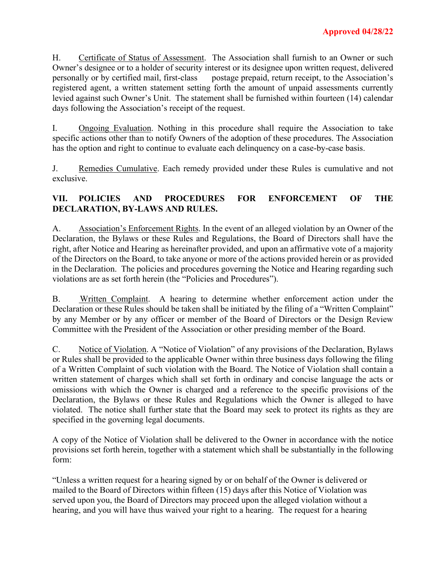H. Certificate of Status of Assessment. The Association shall furnish to an Owner or such Owner's designee or to a holder of security interest or its designee upon written request, delivered personally or by certified mail, first-class postage prepaid, return receipt, to the Association's registered agent, a written statement setting forth the amount of unpaid assessments currently levied against such Owner's Unit. The statement shall be furnished within fourteen (14) calendar days following the Association's receipt of the request.

I. Ongoing Evaluation. Nothing in this procedure shall require the Association to take specific actions other than to notify Owners of the adoption of these procedures. The Association has the option and right to continue to evaluate each delinquency on a case-by-case basis.

J. Remedies Cumulative. Each remedy provided under these Rules is cumulative and not exclusive.

### **VII. POLICIES AND PROCEDURES FOR ENFORCEMENT OF THE DECLARATION, BY-LAWS AND RULES.**

A. Association's Enforcement Rights. In the event of an alleged violation by an Owner of the Declaration, the Bylaws or these Rules and Regulations, the Board of Directors shall have the right, after Notice and Hearing as hereinafter provided, and upon an affirmative vote of a majority of the Directors on the Board, to take anyone or more of the actions provided herein or as provided in the Declaration. The policies and procedures governing the Notice and Hearing regarding such violations are as set forth herein (the "Policies and Procedures").

B. Written Complaint. A hearing to determine whether enforcement action under the Declaration or these Rules should be taken shall be initiated by the filing of a "Written Complaint" by any Member or by any officer or member of the Board of Directors or the Design Review Committee with the President of the Association or other presiding member of the Board.

C. Notice of Violation. A "Notice of Violation" of any provisions of the Declaration, Bylaws or Rules shall be provided to the applicable Owner within three business days following the filing of a Written Complaint of such violation with the Board. The Notice of Violation shall contain a written statement of charges which shall set forth in ordinary and concise language the acts or omissions with which the Owner is charged and a reference to the specific provisions of the Declaration, the Bylaws or these Rules and Regulations which the Owner is alleged to have violated. The notice shall further state that the Board may seek to protect its rights as they are specified in the governing legal documents.

A copy of the Notice of Violation shall be delivered to the Owner in accordance with the notice provisions set forth herein, together with a statement which shall be substantially in the following form:

"Unless a written request for a hearing signed by or on behalf of the Owner is delivered or mailed to the Board of Directors within fifteen (15) days after this Notice of Violation was served upon you, the Board of Directors may proceed upon the alleged violation without a hearing, and you will have thus waived your right to a hearing. The request for a hearing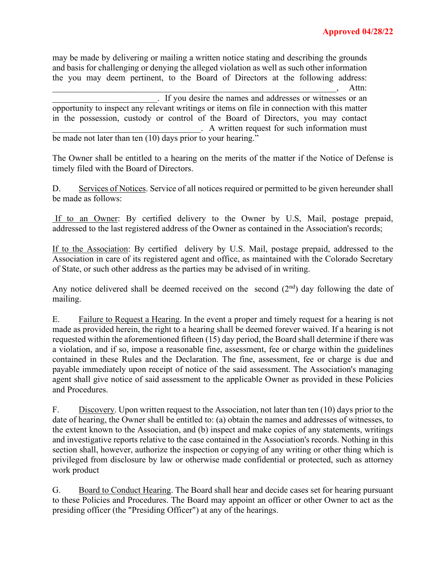may be made by delivering or mailing a written notice stating and describing the grounds and basis for challenging or denying the alleged violation as well as such other information the you may deem pertinent, to the Board of Directors at the following address:  $\longrightarrow$  Attn:

\_\_\_\_\_\_\_\_\_\_\_\_\_\_\_\_\_\_\_\_\_\_\_\_. If you desire the names and addresses or witnesses or an opportunity to inspect any relevant writings or items on file in connection with this matter in the possession, custody or control of the Board of Directors, you may contact \_\_\_\_\_\_\_\_\_\_\_\_\_\_\_\_\_\_\_\_\_\_\_\_\_\_\_\_\_\_\_\_\_\_. A written request for such information must be made not later than ten (10) days prior to your hearing."

The Owner shall be entitled to a hearing on the merits of the matter if the Notice of Defense is

timely filed with the Board of Directors.

be made as follows:

D. Services of Notices. Service of all notices required or permitted to be given hereunder shall

If to an Owner: By certified delivery to the Owner by U.S, Mail, postage prepaid, addressed to the last registered address of the Owner as contained in the Association's records;

If to the Association: By certified delivery by U.S. Mail, postage prepaid, addressed to the Association in care of its registered agent and office, as maintained with the Colorado Secretary of State, or such other address as the parties may be advised of in writing.

Any notice delivered shall be deemed received on the second  $(2<sup>nd</sup>)$  day following the date of mailing.

E. Failure to Request a Hearing. In the event a proper and timely request for a hearing is not made as provided herein, the right to a hearing shall be deemed forever waived. If a hearing is not requested within the aforementioned fifteen (15) day period, the Board shall determine if there was a violation, and if so, impose a reasonable fine, assessment, fee or charge within the guidelines contained in these Rules and the Declaration. The fine, assessment, fee or charge is due and payable immediately upon receipt of notice of the said assessment. The Association's managing agent shall give notice of said assessment to the applicable Owner as provided in these Policies and Procedures.

F. Discovery. Upon written request to the Association, not later than ten (10) days prior to the date of hearing, the Owner shall be entitled to: (a) obtain the names and addresses of witnesses, to the extent known to the Association, and (b) inspect and make copies of any statements, writings and investigative reports relative to the case contained in the Association's records. Nothing in this section shall, however, authorize the inspection or copying of any writing or other thing which is privileged from disclosure by law or otherwise made confidential or protected, such as attorney work product

G. Board to Conduct Hearing. The Board shall hear and decide cases set for hearing pursuant to these Policies and Procedures. The Board may appoint an officer or other Owner to act as the presiding officer (the "Presiding Officer") at any of the hearings.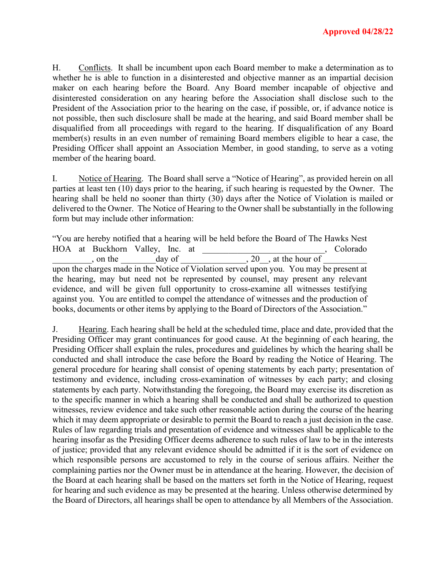H. Conflicts. It shall be incumbent upon each Board member to make a determination as to whether he is able to function in a disinterested and objective manner as an impartial decision maker on each hearing before the Board. Any Board member incapable of objective and disinterested consideration on any hearing before the Association shall disclose such to the President of the Association prior to the hearing on the case, if possible, or, if advance notice is not possible, then such disclosure shall be made at the hearing, and said Board member shall be disqualified from all proceedings with regard to the hearing. If disqualification of any Board member(s) results in an even number of remaining Board members eligible to hear a case, the Presiding Officer shall appoint an Association Member, in good standing, to serve as a voting member of the hearing board.

I. Notice of Hearing. The Board shall serve a "Notice of Hearing", as provided herein on all parties at least ten (10) days prior to the hearing, if such hearing is requested by the Owner. The hearing shall be held no sooner than thirty (30) days after the Notice of Violation is mailed or delivered to the Owner. The Notice of Hearing to the Owner shall be substantially in the following form but may include other information:

"You are hereby notified that a hearing will be held before the Board of The Hawks Nest HOA at Buckhorn Valley, Inc. at \_\_\_\_\_\_\_\_\_\_\_\_\_\_\_\_\_\_\_\_\_\_\_\_\_\_\_\_, Colorado  $\Box$ , on the  $\Box$  day of  $\Box$ , 20, at the hour of  $\Box$ upon the charges made in the Notice of Violation served upon you. You may be present at the hearing, may but need not be represented by counsel, may present any relevant evidence, and will be given full opportunity to cross-examine all witnesses testifying against you. You are entitled to compel the attendance of witnesses and the production of books, documents or other items by applying to the Board of Directors of the Association."

J. Hearing. Each hearing shall be held at the scheduled time, place and date, provided that the Presiding Officer may grant continuances for good cause. At the beginning of each hearing, the Presiding Officer shall explain the rules, procedures and guidelines by which the hearing shall be conducted and shall introduce the case before the Board by reading the Notice of Hearing. The general procedure for hearing shall consist of opening statements by each party; presentation of testimony and evidence, including cross-examination of witnesses by each party; and closing statements by each party. Notwithstanding the foregoing, the Board may exercise its discretion as to the specific manner in which a hearing shall be conducted and shall be authorized to question witnesses, review evidence and take such other reasonable action during the course of the hearing which it may deem appropriate or desirable to permit the Board to reach a just decision in the case. Rules of law regarding trials and presentation of evidence and witnesses shall be applicable to the hearing insofar as the Presiding Officer deems adherence to such rules of law to be in the interests of justice; provided that any relevant evidence should be admitted if it is the sort of evidence on which responsible persons are accustomed to rely in the course of serious affairs. Neither the complaining parties nor the Owner must be in attendance at the hearing. However, the decision of the Board at each hearing shall be based on the matters set forth in the Notice of Hearing, request for hearing and such evidence as may be presented at the hearing. Unless otherwise determined by the Board of Directors, all hearings shall be open to attendance by all Members of the Association.